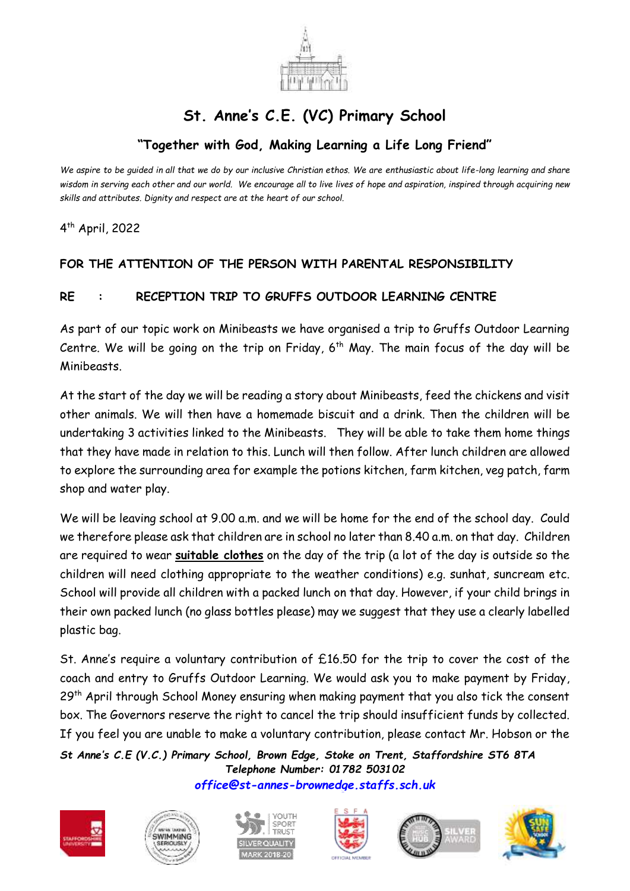

## **St. Anne's C.E. (VC) Primary School**

## **"Together with God, Making Learning a Life Long Friend"**

*We aspire to be guided in all that we do by our inclusive Christian ethos. We are enthusiastic about life-long learning and share wisdom in serving each other and our world. We encourage all to live lives of hope and aspiration, inspired through acquiring new skills and attributes. Dignity and respect are at the heart of our school.*

4 th April, 2022

## **FOR THE ATTENTION OF THE PERSON WITH PARENTAL RESPONSIBILITY**

## **RE : RECEPTION TRIP TO GRUFFS OUTDOOR LEARNING CENTRE**

As part of our topic work on Minibeasts we have organised a trip to Gruffs Outdoor Learning Centre. We will be going on the trip on Friday,  $6^{th}$  May. The main focus of the day will be Minibeasts.

At the start of the day we will be reading a story about Minibeasts, feed the chickens and visit other animals. We will then have a homemade biscuit and a drink. Then the children will be undertaking 3 activities linked to the Minibeasts. They will be able to take them home things that they have made in relation to this. Lunch will then follow. After lunch children are allowed to explore the surrounding area for example the potions kitchen, farm kitchen, veg patch, farm shop and water play.

We will be leaving school at 9.00 a.m. and we will be home for the end of the school day. Could we therefore please ask that children are in school no later than 8.40 a.m. on that day. Children are required to wear **suitable clothes** on the day of the trip (a lot of the day is outside so the children will need clothing appropriate to the weather conditions) e.g. sunhat, suncream etc. School will provide all children with a packed lunch on that day. However, if your child brings in their own packed lunch (no glass bottles please) may we suggest that they use a clearly labelled plastic bag.

St. Anne's require a voluntary contribution of £16.50 for the trip to cover the cost of the coach and entry to Gruffs Outdoor Learning. We would ask you to make payment by Friday, 29<sup>th</sup> April through School Money ensuring when making payment that you also tick the consent box. The Governors reserve the right to cancel the trip should insufficient funds by collected. If you feel you are unable to make a voluntary contribution, please contact Mr. Hobson or the

*St Anne's C.E (V.C.) Primary School, Brown Edge, Stoke on Trent, Staffordshire ST6 8TA Telephone Number: 01782 503102 [office@st-annes-brownedge.staffs.sch.uk](mailto:office@st-annes-brownedge.staffs.sch.uk)*